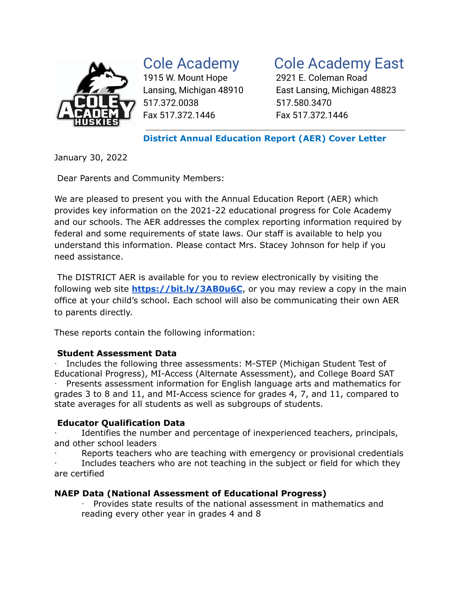

517.372.0038 517.580.3470 Fax 517.372.1446 Fax 517.372.1446

# Cole Academy Cole Academy East

1915 W. Mount Hope 2921 E. Coleman Road Lansing, Michigan 48910 East Lansing, Michigan 48823

**District Annual Education Report (AER) Cover Letter**

January 30, 2022

Dear Parents and Community Members:

We are pleased to present you with the Annual Education Report (AER) which provides key information on the 2021-22 educational progress for Cole Academy and our schools. The AER addresses the complex reporting information required by federal and some requirements of state laws. Our staff is available to help you understand this information. Please contact Mrs. Stacey Johnson for help if you need assistance.

The DISTRICT AER is available for you to review electronically by visiting the following web site **<https://bit.ly/3AB0u6C>**, or you may review a copy in the main office at your child's school. Each school will also be communicating their own AER to parents directly.

These reports contain the following information:

## **Student Assessment Data**

· Includes the following three assessments: M-STEP (Michigan Student Test of Educational Progress), MI-Access (Alternate Assessment), and College Board SAT · Presents assessment information for English language arts and mathematics for grades 3 to 8 and 11, and MI-Access science for grades 4, 7, and 11, compared to state averages for all students as well as subgroups of students.

## **Educator Qualification Data**

Identifies the number and percentage of inexperienced teachers, principals, and other school leaders

Reports teachers who are teaching with emergency or provisional credentials

Includes teachers who are not teaching in the subject or field for which they are certified

## **NAEP Data (National Assessment of Educational Progress)**

· Provides state results of the national assessment in mathematics and reading every other year in grades 4 and 8